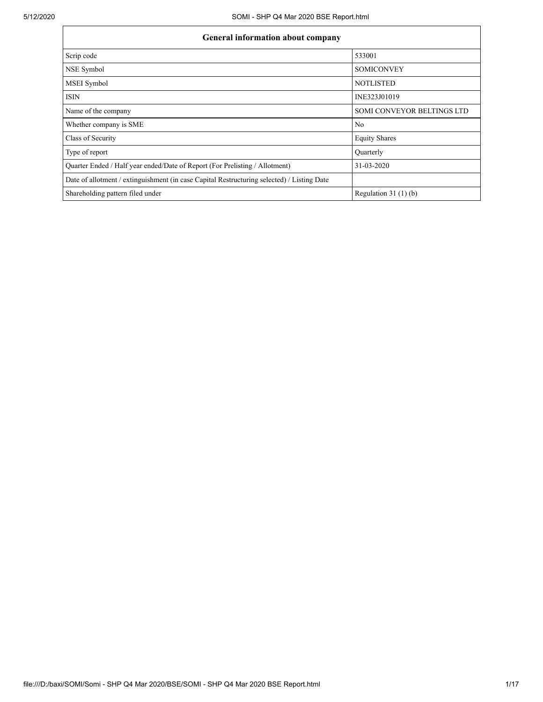| <b>General information about company</b>                                                   |                                   |  |  |  |  |  |
|--------------------------------------------------------------------------------------------|-----------------------------------|--|--|--|--|--|
| Scrip code                                                                                 | 533001                            |  |  |  |  |  |
| NSE Symbol                                                                                 | <b>SOMICONVEY</b>                 |  |  |  |  |  |
| <b>MSEI</b> Symbol                                                                         | <b>NOTLISTED</b>                  |  |  |  |  |  |
| <b>ISIN</b>                                                                                | INE323J01019                      |  |  |  |  |  |
| Name of the company                                                                        | <b>SOMI CONVEYOR BELTINGS LTD</b> |  |  |  |  |  |
| Whether company is SME                                                                     | No                                |  |  |  |  |  |
| Class of Security                                                                          | <b>Equity Shares</b>              |  |  |  |  |  |
| Type of report                                                                             | Ouarterly                         |  |  |  |  |  |
| Quarter Ended / Half year ended/Date of Report (For Prelisting / Allotment)                | 31-03-2020                        |  |  |  |  |  |
| Date of allotment / extinguishment (in case Capital Restructuring selected) / Listing Date |                                   |  |  |  |  |  |
| Shareholding pattern filed under                                                           | Regulation 31 $(1)(b)$            |  |  |  |  |  |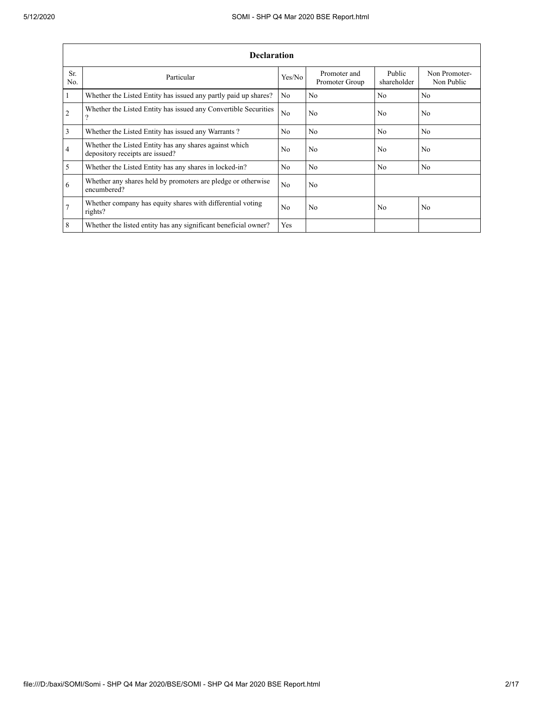|                 | <b>Declaration</b>                                                                        |                |                                |                       |                             |  |  |  |  |  |
|-----------------|-------------------------------------------------------------------------------------------|----------------|--------------------------------|-----------------------|-----------------------------|--|--|--|--|--|
| Sr.<br>No.      | Particular                                                                                | Yes/No         | Promoter and<br>Promoter Group | Public<br>shareholder | Non Promoter-<br>Non Public |  |  |  |  |  |
| $\overline{1}$  | Whether the Listed Entity has issued any partly paid up shares?                           | N <sub>0</sub> | N <sub>0</sub>                 | N <sub>0</sub>        | No                          |  |  |  |  |  |
| $\overline{2}$  | Whether the Listed Entity has issued any Convertible Securities<br>റ                      | N <sub>0</sub> | No.                            | N <sub>0</sub>        | N <sub>0</sub>              |  |  |  |  |  |
| $\overline{3}$  | Whether the Listed Entity has issued any Warrants?                                        | N <sub>0</sub> | No.                            | N <sub>0</sub>        | N <sub>0</sub>              |  |  |  |  |  |
| $\overline{4}$  | Whether the Listed Entity has any shares against which<br>depository receipts are issued? | No             | No.                            | N <sub>0</sub>        | N <sub>0</sub>              |  |  |  |  |  |
| $\overline{5}$  | Whether the Listed Entity has any shares in locked-in?                                    | N <sub>0</sub> | No.                            | N <sub>0</sub>        | N <sub>0</sub>              |  |  |  |  |  |
| 6               | Whether any shares held by promoters are pledge or otherwise<br>encumbered?               | N <sub>0</sub> | No.                            |                       |                             |  |  |  |  |  |
| $7\overline{ }$ | Whether company has equity shares with differential voting<br>rights?                     | N <sub>0</sub> | No.                            | N <sub>0</sub>        | N <sub>0</sub>              |  |  |  |  |  |
| 8               | Whether the listed entity has any significant beneficial owner?                           | Yes            |                                |                       |                             |  |  |  |  |  |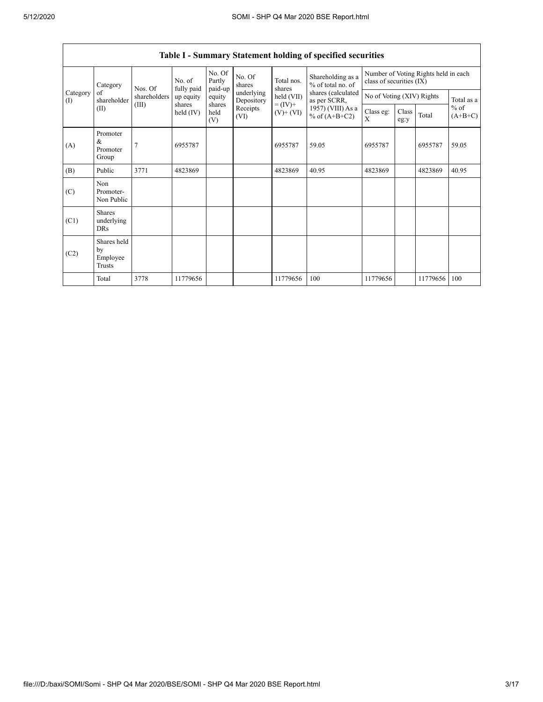|                 | Category                                  | Nos. Of                                                                                                                        | No. of<br>fully paid | No. Of<br>Partly<br>paid-up | No. Of<br>shares         | Total nos.<br>shares | Shareholding as a<br>% of total no. of<br>shares (calculated<br>as per SCRR, | Number of Voting Rights held in each<br>class of securities (IX) |                           |          |       |
|-----------------|-------------------------------------------|--------------------------------------------------------------------------------------------------------------------------------|----------------------|-----------------------------|--------------------------|----------------------|------------------------------------------------------------------------------|------------------------------------------------------------------|---------------------------|----------|-------|
| Category<br>(1) | of<br>shareholder                         | shareholders                                                                                                                   | up equity            | equity                      | underlying<br>Depository | held (VII)           |                                                                              |                                                                  | No of Voting (XIV) Rights |          |       |
|                 | (II)                                      | $= (IV) +$<br>shares<br>(III)<br>shares<br>Receipts<br>held<br>$(V)$ + $(VI)$<br>held $(IV)$<br>% of $(A+B+C2)$<br>(VI)<br>(V) | 1957) (VIII) As a    | Class eg:<br>X              | Class<br>eg:y            | Total                | $%$ of<br>$(A+B+C)$                                                          |                                                                  |                           |          |       |
| (A)             | Promoter<br>$\&$<br>Promoter<br>Group     | 7                                                                                                                              | 6955787              |                             |                          | 6955787              | 59.05                                                                        | 6955787                                                          |                           | 6955787  | 59.05 |
| (B)             | Public                                    | 3771                                                                                                                           | 4823869              |                             |                          | 4823869              | 40.95                                                                        | 4823869                                                          |                           | 4823869  | 40.95 |
| (C)             | Non<br>Promoter-<br>Non Public            |                                                                                                                                |                      |                             |                          |                      |                                                                              |                                                                  |                           |          |       |
| (C1)            | <b>Shares</b><br>underlying<br><b>DRs</b> |                                                                                                                                |                      |                             |                          |                      |                                                                              |                                                                  |                           |          |       |
| (C2)            | Shares held<br>by<br>Employee<br>Trusts   |                                                                                                                                |                      |                             |                          |                      |                                                                              |                                                                  |                           |          |       |
|                 | Total                                     | 3778                                                                                                                           | 11779656             |                             |                          | 11779656             | 100                                                                          | 11779656                                                         |                           | 11779656 | 100   |

## Table I - Summary Statement holding of specified securities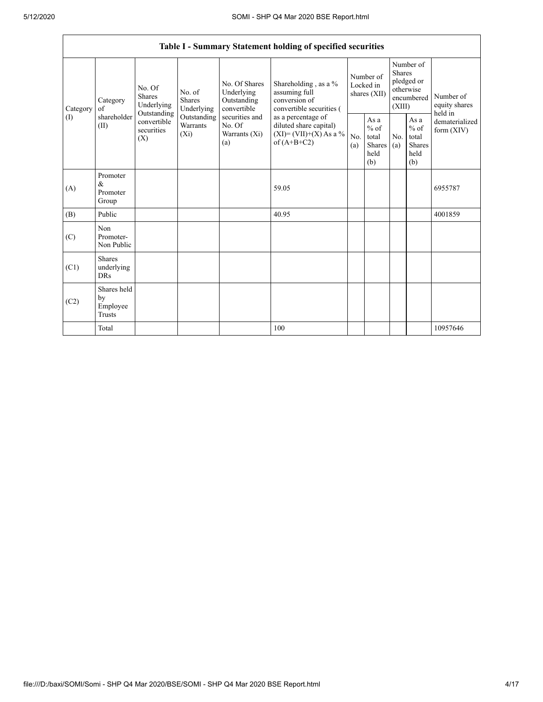|                | Table I - Summary Statement holding of specified securities |                                                 |                                    |                                                                                                                                              |                                                                                    |                                                  |            |                                                                               |                                           |                            |
|----------------|-------------------------------------------------------------|-------------------------------------------------|------------------------------------|----------------------------------------------------------------------------------------------------------------------------------------------|------------------------------------------------------------------------------------|--------------------------------------------------|------------|-------------------------------------------------------------------------------|-------------------------------------------|----------------------------|
| Category<br>of | Category                                                    | No. Of<br>Shares<br>Underlying                  |                                    | No. Of Shares<br>Underlying<br>Outstanding<br>convertible                                                                                    | Shareholding, as a %<br>assuming full<br>conversion of<br>convertible securities ( | Number of<br>Locked in<br>shares (XII)           |            | Number of<br><b>Shares</b><br>pledged or<br>otherwise<br>encumbered<br>(XIII) |                                           | Number of<br>equity shares |
| (I)            | shareholder<br>(II)                                         | Outstanding<br>convertible<br>securities<br>(X) | Outstanding<br>Warrants<br>$(X_i)$ | securities and<br>as a percentage of<br>No. Of<br>diluted share capital)<br>$(XI)=(VII)+(X) As a %$<br>Warrants (Xi)<br>of $(A+B+C2)$<br>(a) | No.<br>(a)                                                                         | As a<br>$%$ of<br>total<br>Shares<br>held<br>(b) | No.<br>(a) | As $\mathbf{a}$<br>$%$ of<br>total<br><b>Shares</b><br>held<br>(b)            | held in<br>dematerialized<br>form $(XIV)$ |                            |
| (A)            | Promoter<br>&<br>Promoter<br>Group                          |                                                 |                                    |                                                                                                                                              | 59.05                                                                              |                                                  |            |                                                                               |                                           | 6955787                    |
| (B)            | Public                                                      |                                                 |                                    |                                                                                                                                              | 40.95                                                                              |                                                  |            |                                                                               |                                           | 4001859                    |
| (C)            | Non<br>Promoter-<br>Non Public                              |                                                 |                                    |                                                                                                                                              |                                                                                    |                                                  |            |                                                                               |                                           |                            |
| (C1)           | <b>Shares</b><br>underlying<br><b>DRs</b>                   |                                                 |                                    |                                                                                                                                              |                                                                                    |                                                  |            |                                                                               |                                           |                            |
| (C2)           | Shares held<br>by<br>Employee<br><b>Trusts</b>              |                                                 |                                    |                                                                                                                                              |                                                                                    |                                                  |            |                                                                               |                                           |                            |
|                | Total                                                       |                                                 |                                    |                                                                                                                                              | 100                                                                                |                                                  |            |                                                                               |                                           | 10957646                   |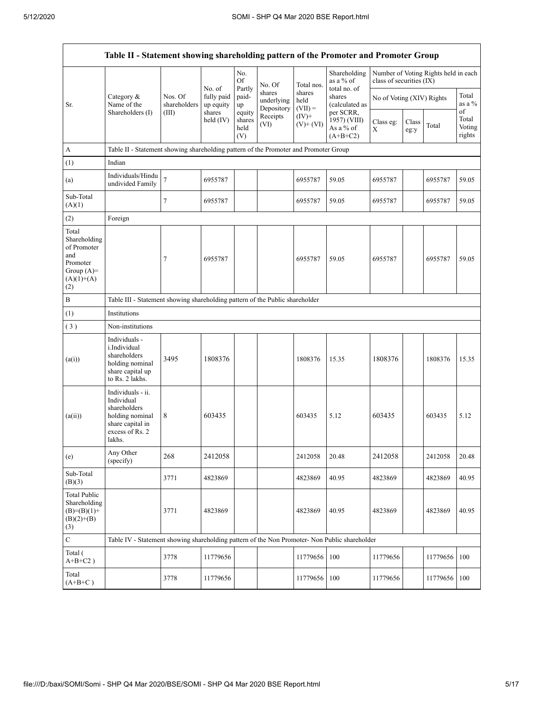| Table II - Statement showing shareholding pattern of the Promoter and Promoter Group           |                                                                                                                     |                         |                                   |                                 |                                    |                                                                  |                                          |                           |               |                                      |                           |
|------------------------------------------------------------------------------------------------|---------------------------------------------------------------------------------------------------------------------|-------------------------|-----------------------------------|---------------------------------|------------------------------------|------------------------------------------------------------------|------------------------------------------|---------------------------|---------------|--------------------------------------|---------------------------|
|                                                                                                |                                                                                                                     |                         |                                   | No.<br><b>Of</b>                | No. Of                             | Total nos.                                                       | Shareholding<br>as a % of                | class of securities (IX)  |               | Number of Voting Rights held in each |                           |
| Sr.                                                                                            | Category $\&$<br>Name of the                                                                                        | Nos. Of<br>shareholders | No. of<br>fully paid<br>up equity | Partly<br>paid-<br>up           | shares<br>underlying<br>Depository | shares<br>held<br>$(VII) =$                                      | total no. of<br>shares<br>(calculated as | No of Voting (XIV) Rights |               |                                      | Total<br>as a %<br>of     |
|                                                                                                | Shareholders (I)                                                                                                    | (III)                   | shares<br>held $(IV)$             | equity<br>shares<br>held<br>(V) | Receipts<br>(VI)                   | $(IV)+$<br>1957) (VIII)<br>$(V)+(VI)$<br>As a % of<br>$(A+B+C2)$ | per SCRR,                                | Class eg:<br>X            | Class<br>eg:y | Total                                | Total<br>Voting<br>rights |
| A                                                                                              | Table II - Statement showing shareholding pattern of the Promoter and Promoter Group                                |                         |                                   |                                 |                                    |                                                                  |                                          |                           |               |                                      |                           |
| (1)                                                                                            | Indian                                                                                                              |                         |                                   |                                 |                                    |                                                                  |                                          |                           |               |                                      |                           |
| (a)                                                                                            | Individuals/Hindu<br>undivided Family                                                                               | $\overline{7}$          | 6955787                           |                                 |                                    | 6955787                                                          | 59.05                                    | 6955787                   |               | 6955787                              | 59.05                     |
| Sub-Total<br>(A)(1)                                                                            |                                                                                                                     | $\overline{7}$          | 6955787                           |                                 |                                    | 6955787                                                          | 59.05                                    | 6955787                   |               | 6955787                              | 59.05                     |
| (2)                                                                                            | Foreign                                                                                                             |                         |                                   |                                 |                                    |                                                                  |                                          |                           |               |                                      |                           |
| Total<br>Shareholding<br>of Promoter<br>and<br>Promoter<br>Group $(A)=$<br>$(A)(1)+(A)$<br>(2) |                                                                                                                     | 7                       | 6955787                           |                                 |                                    | 6955787                                                          | 59.05                                    | 6955787                   |               | 6955787                              | 59.05                     |
| $\, {\bf B}$                                                                                   | Table III - Statement showing shareholding pattern of the Public shareholder                                        |                         |                                   |                                 |                                    |                                                                  |                                          |                           |               |                                      |                           |
| (1)                                                                                            | Institutions                                                                                                        |                         |                                   |                                 |                                    |                                                                  |                                          |                           |               |                                      |                           |
| (3)                                                                                            | Non-institutions                                                                                                    |                         |                                   |                                 |                                    |                                                                  |                                          |                           |               |                                      |                           |
| (a(i))                                                                                         | Individuals -<br>i.Individual<br>shareholders<br>holding nominal<br>share capital up<br>to Rs. 2 lakhs.             | 3495                    | 1808376                           |                                 |                                    | 1808376                                                          | 15.35                                    | 1808376                   |               | 1808376                              | 15.35                     |
| (a(ii))                                                                                        | Individuals - ii.<br>Individual<br>shareholders<br>holding nominal<br>share capital in<br>excess of Rs. 2<br>lakhs. | 8                       | 603435                            |                                 |                                    | 603435                                                           | 5.12                                     | 603435                    |               | 603435                               | 5.12                      |
| (e)                                                                                            | Any Other<br>(specify)                                                                                              | 268                     | 2412058                           |                                 |                                    | 2412058                                                          | 20.48                                    | 2412058                   |               | 2412058                              | 20.48                     |
| Sub-Total<br>(B)(3)                                                                            |                                                                                                                     | 3771                    | 4823869                           |                                 |                                    | 4823869                                                          | 40.95                                    | 4823869                   |               | 4823869                              | 40.95                     |
| <b>Total Public</b><br>Shareholding<br>$(B)=(B)(1)+$<br>$(B)(2)+(B)$<br>(3)                    |                                                                                                                     | 3771                    | 4823869                           |                                 |                                    | 4823869                                                          | 40.95                                    | 4823869                   |               | 4823869                              | 40.95                     |
| $\mathbf C$                                                                                    | Table IV - Statement showing shareholding pattern of the Non Promoter- Non Public shareholder                       |                         |                                   |                                 |                                    |                                                                  |                                          |                           |               |                                      |                           |
| Total (<br>$A+B+C2$ )                                                                          |                                                                                                                     | 3778                    | 11779656                          |                                 |                                    | 11779656                                                         | 100                                      | 11779656                  |               | 11779656                             | 100                       |
| Total<br>$(A+B+C)$                                                                             |                                                                                                                     | 3778                    | 11779656                          |                                 |                                    | 11779656                                                         | 100                                      | 11779656                  |               | 11779656                             | 100                       |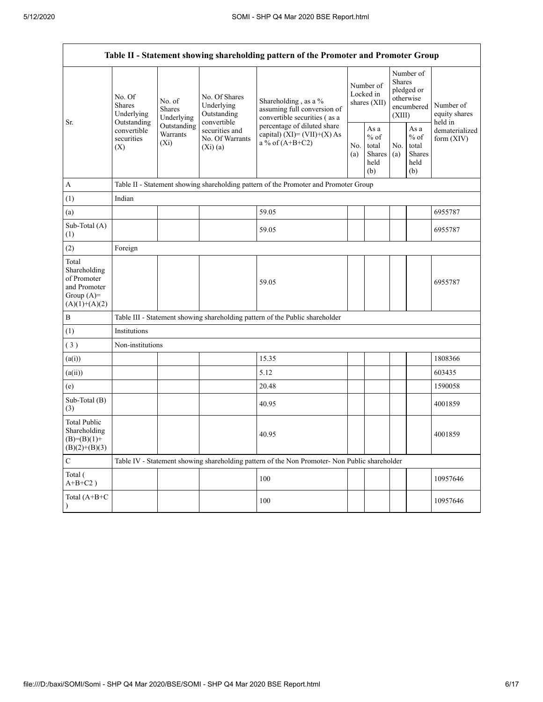| Table II - Statement showing shareholding pattern of the Promoter and Promoter Group    |                                                                                                     |                                       |                                                                                                           |                                                                                                                                                                           |  |                                                  |            |                                                                        |                                       |
|-----------------------------------------------------------------------------------------|-----------------------------------------------------------------------------------------------------|---------------------------------------|-----------------------------------------------------------------------------------------------------------|---------------------------------------------------------------------------------------------------------------------------------------------------------------------------|--|--------------------------------------------------|------------|------------------------------------------------------------------------|---------------------------------------|
| Sr.                                                                                     | No. Of<br><b>Shares</b><br>Underlying<br>Outstanding<br>convertible<br>securities<br>$(X_i)$<br>(X) | No. of<br><b>Shares</b><br>Underlying | No. Of Shares<br>Underlying<br>Outstanding<br>convertible<br>securities and<br>No. Of Warrants<br>(Xi)(a) | Shareholding, as a %<br>assuming full conversion of<br>convertible securities (as a<br>percentage of diluted share<br>capital) $(XI) = (VII)+(X) As$<br>a % of $(A+B+C2)$ |  | Number of<br>Locked in<br>shares $(XII)$         |            | Number of<br>Shares<br>pledged or<br>otherwise<br>encumbered<br>(XIII) | Number of<br>equity shares<br>held in |
|                                                                                         |                                                                                                     | Outstanding<br><b>Warrants</b>        |                                                                                                           |                                                                                                                                                                           |  | As a<br>$%$ of<br>total<br>Shares<br>held<br>(b) | No.<br>(a) | As a<br>$%$ of<br>total<br><b>Shares</b><br>held<br>(b)                | dematerialized<br>form $(XIV)$        |
| $\mathbf{A}$                                                                            |                                                                                                     |                                       |                                                                                                           | Table II - Statement showing shareholding pattern of the Promoter and Promoter Group                                                                                      |  |                                                  |            |                                                                        |                                       |
| (1)                                                                                     | Indian                                                                                              |                                       |                                                                                                           |                                                                                                                                                                           |  |                                                  |            |                                                                        |                                       |
| (a)                                                                                     |                                                                                                     |                                       |                                                                                                           | 59.05                                                                                                                                                                     |  |                                                  |            |                                                                        | 6955787                               |
| Sub-Total (A)<br>(1)                                                                    |                                                                                                     |                                       |                                                                                                           | 59.05                                                                                                                                                                     |  |                                                  |            |                                                                        | 6955787                               |
| (2)                                                                                     | Foreign                                                                                             |                                       |                                                                                                           |                                                                                                                                                                           |  |                                                  |            |                                                                        |                                       |
| Total<br>Shareholding<br>of Promoter<br>and Promoter<br>Group $(A)=$<br>$(A)(1)+(A)(2)$ |                                                                                                     |                                       |                                                                                                           | 59.05                                                                                                                                                                     |  |                                                  |            |                                                                        | 6955787                               |
| $\, {\bf B}$                                                                            |                                                                                                     |                                       |                                                                                                           | Table III - Statement showing shareholding pattern of the Public shareholder                                                                                              |  |                                                  |            |                                                                        |                                       |
| (1)                                                                                     | Institutions                                                                                        |                                       |                                                                                                           |                                                                                                                                                                           |  |                                                  |            |                                                                        |                                       |
| (3)                                                                                     | Non-institutions                                                                                    |                                       |                                                                                                           |                                                                                                                                                                           |  |                                                  |            |                                                                        |                                       |
| (a(i))                                                                                  |                                                                                                     |                                       |                                                                                                           | 15.35                                                                                                                                                                     |  |                                                  |            |                                                                        | 1808366                               |
| (a(ii))                                                                                 |                                                                                                     |                                       |                                                                                                           | 5.12                                                                                                                                                                      |  |                                                  |            |                                                                        | 603435                                |
| (e)                                                                                     |                                                                                                     |                                       |                                                                                                           | 20.48                                                                                                                                                                     |  |                                                  |            |                                                                        | 1590058                               |
| Sub-Total (B)<br>(3)                                                                    |                                                                                                     |                                       |                                                                                                           | 40.95                                                                                                                                                                     |  |                                                  |            |                                                                        | 4001859                               |
| <b>Total Public</b><br>Shareholding<br>$(B)=(B)(1)+$<br>$(B)(2)+(B)(3)$                 |                                                                                                     |                                       |                                                                                                           | 40.95                                                                                                                                                                     |  |                                                  |            |                                                                        | 4001859                               |
| $\mathbf C$                                                                             |                                                                                                     |                                       |                                                                                                           | Table IV - Statement showing shareholding pattern of the Non Promoter- Non Public shareholder                                                                             |  |                                                  |            |                                                                        |                                       |
| Total (<br>$A+B+C2$ )                                                                   |                                                                                                     |                                       |                                                                                                           | 100                                                                                                                                                                       |  |                                                  |            |                                                                        | 10957646                              |
| Total (A+B+C                                                                            |                                                                                                     |                                       |                                                                                                           | 100                                                                                                                                                                       |  |                                                  |            |                                                                        | 10957646                              |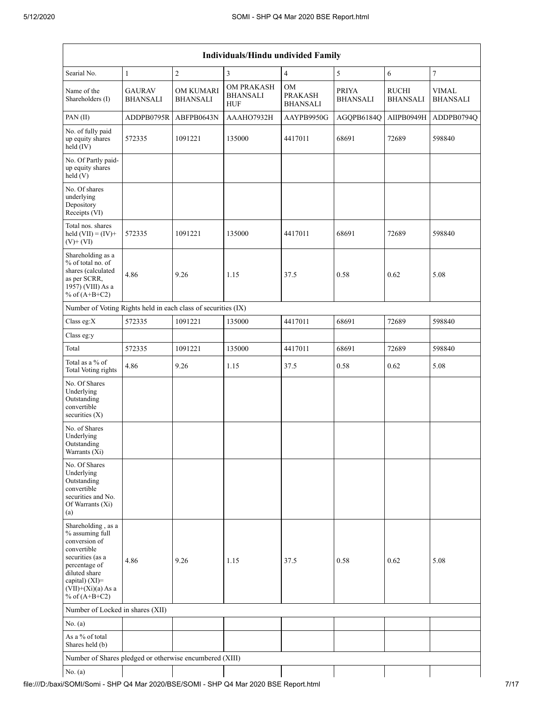|                                                                                                                                                                                             | Individuals/Hindu undivided Family                            |                                     |                                                    |                                         |                                 |                                 |                                 |  |  |
|---------------------------------------------------------------------------------------------------------------------------------------------------------------------------------------------|---------------------------------------------------------------|-------------------------------------|----------------------------------------------------|-----------------------------------------|---------------------------------|---------------------------------|---------------------------------|--|--|
| Searial No.                                                                                                                                                                                 | $\mathbf{1}$                                                  | $\overline{c}$                      | 3                                                  | $\overline{4}$                          | 5                               | 6                               | $\boldsymbol{7}$                |  |  |
| Name of the<br>Shareholders (I)                                                                                                                                                             | <b>GAURAV</b><br><b>BHANSALI</b>                              | <b>OM KUMARI</b><br><b>BHANSALI</b> | <b>OM PRAKASH</b><br><b>BHANSALI</b><br><b>HUF</b> | <b>OM</b><br><b>PRAKASH</b><br>BHANSALI | <b>PRIYA</b><br><b>BHANSALI</b> | <b>RUCHI</b><br><b>BHANSALI</b> | <b>VIMAL</b><br><b>BHANSALI</b> |  |  |
| PAN(II)                                                                                                                                                                                     | ADDPB0795R                                                    | ABFPB0643N                          | AAAHO7932H                                         | AAYPB9950G                              | AGQPB6184Q                      | AIIPB0949H                      | ADDPB0794Q                      |  |  |
| No. of fully paid<br>up equity shares<br>held (IV)                                                                                                                                          | 572335                                                        | 1091221                             | 135000                                             | 4417011                                 | 68691                           | 72689                           | 598840                          |  |  |
| No. Of Partly paid-<br>up equity shares<br>held(V)                                                                                                                                          |                                                               |                                     |                                                    |                                         |                                 |                                 |                                 |  |  |
| No. Of shares<br>underlying<br>Depository<br>Receipts (VI)                                                                                                                                  |                                                               |                                     |                                                    |                                         |                                 |                                 |                                 |  |  |
| Total nos. shares<br>held $(VII) = (IV) +$<br>$(V)$ + $(VI)$                                                                                                                                | 572335                                                        | 1091221                             | 135000                                             | 4417011                                 | 68691                           | 72689                           | 598840                          |  |  |
| Shareholding as a<br>% of total no. of<br>shares (calculated<br>as per SCRR,<br>1957) (VIII) As a<br>% of $(A+B+C2)$                                                                        | 4.86                                                          | 9.26                                | 1.15                                               | 37.5                                    | 0.58                            | 0.62                            | 5.08                            |  |  |
|                                                                                                                                                                                             | Number of Voting Rights held in each class of securities (IX) |                                     |                                                    |                                         |                                 |                                 |                                 |  |  |
| Class eg:X                                                                                                                                                                                  | 572335                                                        | 1091221                             | 135000                                             | 4417011                                 | 68691                           | 72689                           | 598840                          |  |  |
| Class eg:y                                                                                                                                                                                  |                                                               |                                     |                                                    |                                         |                                 |                                 |                                 |  |  |
| Total                                                                                                                                                                                       | 572335                                                        | 1091221                             | 135000                                             | 4417011                                 | 68691                           | 72689                           | 598840                          |  |  |
| Total as a % of<br>Total Voting rights                                                                                                                                                      | 4.86                                                          | 9.26                                | 1.15                                               | 37.5                                    | 0.58                            | 0.62                            | 5.08                            |  |  |
| No. Of Shares<br>Underlying<br>Outstanding<br>convertible<br>securities $(X)$                                                                                                               |                                                               |                                     |                                                    |                                         |                                 |                                 |                                 |  |  |
| No. of Shares<br>Underlying<br>Outstanding<br>Warrants (Xi)                                                                                                                                 |                                                               |                                     |                                                    |                                         |                                 |                                 |                                 |  |  |
| No. Of Shares<br>Underlying<br>Outstanding<br>convertible<br>securities and No.<br>Of Warrants (Xi)<br>(a)                                                                                  |                                                               |                                     |                                                    |                                         |                                 |                                 |                                 |  |  |
| Shareholding, as a<br>% assuming full<br>conversion of<br>convertible<br>securities (as a<br>percentage of<br>diluted share<br>capital) $(XI)$ =<br>$(VII)+(Xi)(a)$ As a<br>% of $(A+B+C2)$ | 4.86                                                          | 9.26                                | 1.15                                               | 37.5                                    | 0.58                            | 0.62                            | 5.08                            |  |  |
| Number of Locked in shares (XII)                                                                                                                                                            |                                                               |                                     |                                                    |                                         |                                 |                                 |                                 |  |  |
| No. (a)                                                                                                                                                                                     |                                                               |                                     |                                                    |                                         |                                 |                                 |                                 |  |  |
| As a % of total<br>Shares held (b)                                                                                                                                                          |                                                               |                                     |                                                    |                                         |                                 |                                 |                                 |  |  |
| Number of Shares pledged or otherwise encumbered (XIII)                                                                                                                                     |                                                               |                                     |                                                    |                                         |                                 |                                 |                                 |  |  |
| No. $(a)$                                                                                                                                                                                   |                                                               |                                     |                                                    |                                         |                                 |                                 |                                 |  |  |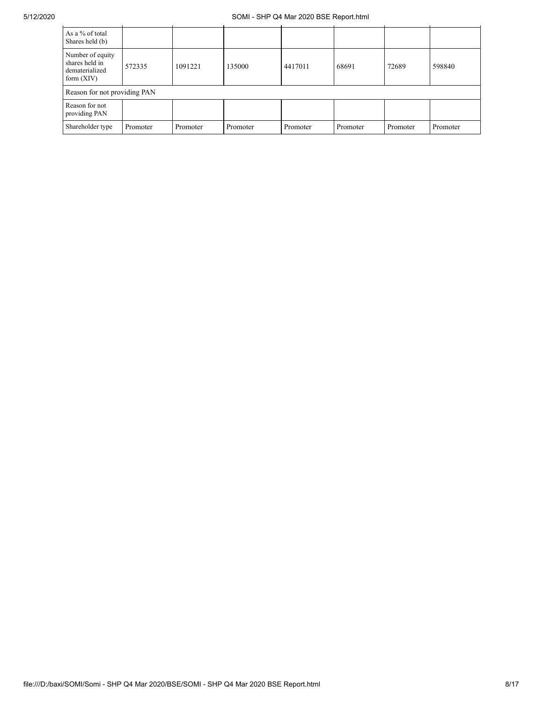| As a % of total<br>Shares held (b)                                   |          |          |          |          |          |          |          |
|----------------------------------------------------------------------|----------|----------|----------|----------|----------|----------|----------|
| Number of equity<br>shares held in<br>dematerialized<br>form $(XIV)$ | 572335   | 1091221  | 135000   | 4417011  | 68691    | 72689    | 598840   |
| Reason for not providing PAN                                         |          |          |          |          |          |          |          |
| Reason for not<br>providing PAN                                      |          |          |          |          |          |          |          |
| Shareholder type                                                     | Promoter | Promoter | Promoter | Promoter | Promoter | Promoter | Promoter |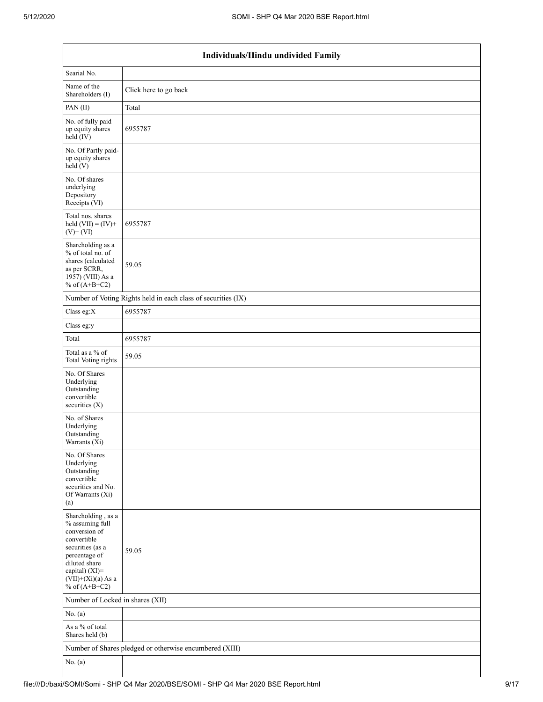| Individuals/Hindu undivided Family                                                                                                                                                       |                                                               |  |  |  |  |  |  |
|------------------------------------------------------------------------------------------------------------------------------------------------------------------------------------------|---------------------------------------------------------------|--|--|--|--|--|--|
| Searial No.                                                                                                                                                                              |                                                               |  |  |  |  |  |  |
| Name of the<br>Shareholders (I)                                                                                                                                                          | Click here to go back                                         |  |  |  |  |  |  |
| PAN(II)                                                                                                                                                                                  | Total                                                         |  |  |  |  |  |  |
| No. of fully paid<br>up equity shares<br>$\text{held}(\text{IV})$                                                                                                                        | 6955787                                                       |  |  |  |  |  |  |
| No. Of Partly paid-<br>up equity shares<br>$\text{held}(V)$                                                                                                                              |                                                               |  |  |  |  |  |  |
| No. Of shares<br>underlying<br>Depository<br>Receipts (VI)                                                                                                                               |                                                               |  |  |  |  |  |  |
| Total nos. shares<br>held $(VII) = (IV) +$<br>$(V)$ + $(VI)$                                                                                                                             | 6955787                                                       |  |  |  |  |  |  |
| Shareholding as a<br>% of total no. of<br>shares (calculated<br>as per SCRR,<br>1957) (VIII) As a<br>% of $(A+B+C2)$                                                                     | 59.05                                                         |  |  |  |  |  |  |
|                                                                                                                                                                                          | Number of Voting Rights held in each class of securities (IX) |  |  |  |  |  |  |
| Class eg:X                                                                                                                                                                               | 6955787                                                       |  |  |  |  |  |  |
| Class eg:y                                                                                                                                                                               |                                                               |  |  |  |  |  |  |
| Total                                                                                                                                                                                    | 6955787                                                       |  |  |  |  |  |  |
| Total as a % of<br>Total Voting rights                                                                                                                                                   | 59.05                                                         |  |  |  |  |  |  |
| No. Of Shares<br>Underlying<br>Outstanding<br>convertible<br>securities (X)                                                                                                              |                                                               |  |  |  |  |  |  |
| No. of Shares<br>Underlying<br>Outstanding<br>Warrants (Xi)                                                                                                                              |                                                               |  |  |  |  |  |  |
| No. Of Shares<br>Underlying<br>Outstanding<br>convertible<br>securities and No.<br>Of Warrants (Xi)<br>(a)                                                                               |                                                               |  |  |  |  |  |  |
| Shareholding, as a<br>% assuming full<br>conversion of<br>convertible<br>securities (as a<br>percentage of<br>diluted share<br>capital) (XI)=<br>$(VII)+(Xi)(a)$ As a<br>% of $(A+B+C2)$ | 59.05                                                         |  |  |  |  |  |  |
| Number of Locked in shares (XII)                                                                                                                                                         |                                                               |  |  |  |  |  |  |
| No. (a)                                                                                                                                                                                  |                                                               |  |  |  |  |  |  |
| As a $\%$ of total<br>Shares held (b)                                                                                                                                                    |                                                               |  |  |  |  |  |  |
|                                                                                                                                                                                          | Number of Shares pledged or otherwise encumbered (XIII)       |  |  |  |  |  |  |
| No. (a)                                                                                                                                                                                  |                                                               |  |  |  |  |  |  |
|                                                                                                                                                                                          |                                                               |  |  |  |  |  |  |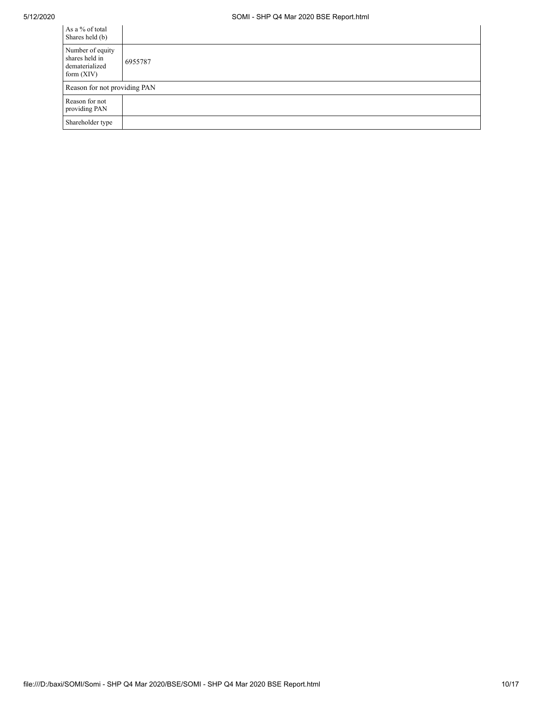| As a % of total<br>Shares held (b)                                   |         |
|----------------------------------------------------------------------|---------|
| Number of equity<br>shares held in<br>dematerialized<br>form $(XIV)$ | 6955787 |
| Reason for not providing PAN                                         |         |
| Reason for not<br>providing PAN                                      |         |
| Shareholder type                                                     |         |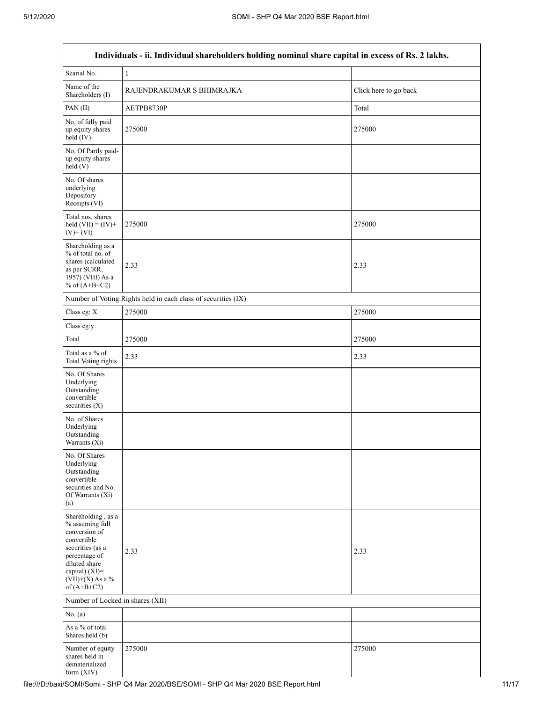| Individuals - ii. Individual shareholders holding nominal share capital in excess of Rs. 2 lakhs.                                                                                    |                                                               |                       |  |  |  |  |  |
|--------------------------------------------------------------------------------------------------------------------------------------------------------------------------------------|---------------------------------------------------------------|-----------------------|--|--|--|--|--|
| Searial No.                                                                                                                                                                          | $\mathbf{1}$                                                  |                       |  |  |  |  |  |
| Name of the<br>Shareholders (I)                                                                                                                                                      | RAJENDRAKUMAR S BHIMRAJKA                                     | Click here to go back |  |  |  |  |  |
| PAN(II)                                                                                                                                                                              | AETPB8730P                                                    | Total                 |  |  |  |  |  |
| No. of fully paid<br>up equity shares<br>held (IV)                                                                                                                                   | 275000                                                        | 275000                |  |  |  |  |  |
| No. Of Partly paid-<br>up equity shares<br>held(V)                                                                                                                                   |                                                               |                       |  |  |  |  |  |
| No. Of shares<br>underlying<br>Depository<br>Receipts (VI)                                                                                                                           |                                                               |                       |  |  |  |  |  |
| Total nos. shares<br>held $(VII) = (IV) +$<br>$(V)$ + $(VI)$                                                                                                                         | 275000                                                        | 275000                |  |  |  |  |  |
| Shareholding as a<br>% of total no. of<br>shares (calculated<br>as per SCRR,<br>1957) (VIII) As a<br>% of $(A+B+C2)$                                                                 | 2.33                                                          | 2.33                  |  |  |  |  |  |
|                                                                                                                                                                                      | Number of Voting Rights held in each class of securities (IX) |                       |  |  |  |  |  |
| Class eg: X                                                                                                                                                                          | 275000                                                        | 275000                |  |  |  |  |  |
| Class eg:y                                                                                                                                                                           |                                                               |                       |  |  |  |  |  |
| Total                                                                                                                                                                                | 275000                                                        | 275000                |  |  |  |  |  |
| Total as a % of<br><b>Total Voting rights</b>                                                                                                                                        | 2.33                                                          | 2.33                  |  |  |  |  |  |
| No. Of Shares<br>Underlying<br>Outstanding<br>convertible<br>securities $(X)$                                                                                                        |                                                               |                       |  |  |  |  |  |
| No. of Shares<br>Underlying<br>Outstanding<br>Warrants (Xi)                                                                                                                          |                                                               |                       |  |  |  |  |  |
| No. Of Shares<br>Underlying<br>Outstanding<br>convertible<br>securities and No.<br>Of Warrants (Xi)<br>(a)                                                                           |                                                               |                       |  |  |  |  |  |
| Shareholding, as a<br>% assuming full<br>conversion of<br>convertible<br>securities (as a<br>percentage of<br>diluted share<br>capital) (XI)=<br>$(VII)+(X)$ As a %<br>of $(A+B+C2)$ | 2.33                                                          | 2.33                  |  |  |  |  |  |
| Number of Locked in shares (XII)                                                                                                                                                     |                                                               |                       |  |  |  |  |  |
| No. $(a)$                                                                                                                                                                            |                                                               |                       |  |  |  |  |  |
| As a % of total<br>Shares held (b)                                                                                                                                                   |                                                               |                       |  |  |  |  |  |
| Number of equity<br>shares held in<br>dematerialized<br>form (XIV)                                                                                                                   | 275000                                                        | 275000                |  |  |  |  |  |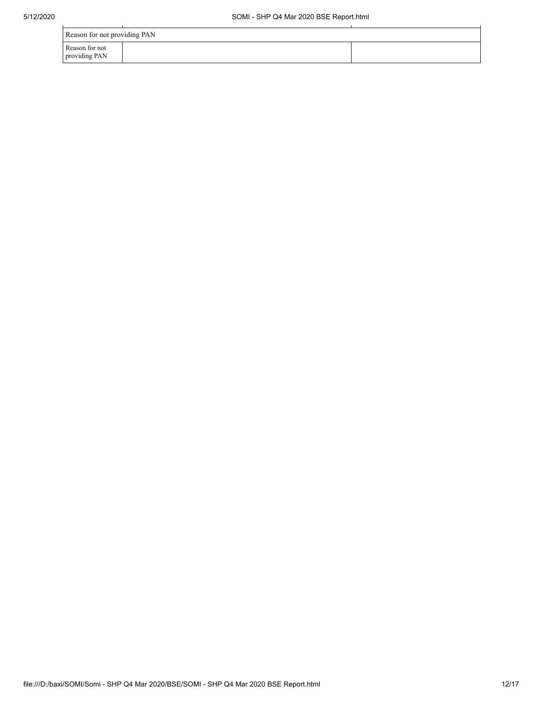l.

| Reason for not providing PAN    |  |  |  |  |  |  |
|---------------------------------|--|--|--|--|--|--|
| Reason for not<br>providing PAN |  |  |  |  |  |  |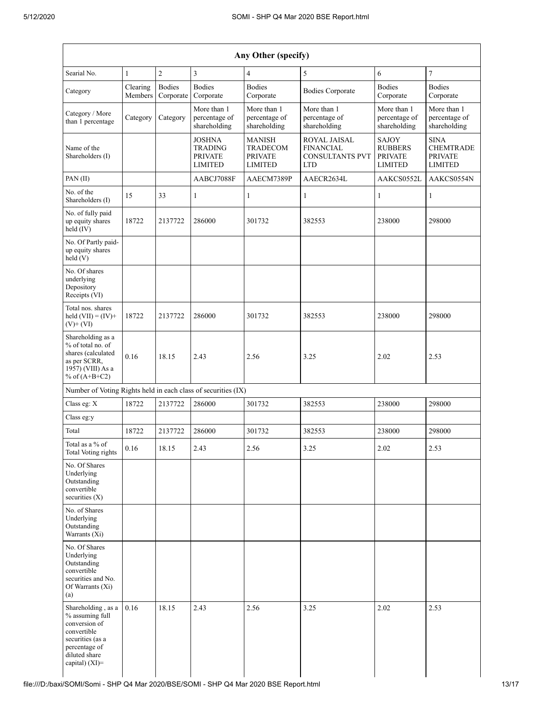| Any Other (specify)                                                                                                                              |                            |                            |                                                                     |                                                                      |                                                                          |                                                                    |                                                                     |  |  |  |
|--------------------------------------------------------------------------------------------------------------------------------------------------|----------------------------|----------------------------|---------------------------------------------------------------------|----------------------------------------------------------------------|--------------------------------------------------------------------------|--------------------------------------------------------------------|---------------------------------------------------------------------|--|--|--|
| Searial No.                                                                                                                                      | 1                          | $\sqrt{2}$                 | $\overline{3}$                                                      | $\overline{4}$                                                       | 5                                                                        | 6                                                                  | $\overline{7}$                                                      |  |  |  |
| Category                                                                                                                                         | Clearing<br>Members        | <b>Bodies</b><br>Corporate | <b>Bodies</b><br>Corporate                                          | <b>Bodies</b><br>Corporate                                           | <b>Bodies Corporate</b>                                                  | <b>Bodies</b><br>Corporate                                         | <b>Bodies</b><br>Corporate                                          |  |  |  |
| Category / More<br>than 1 percentage                                                                                                             | Category                   | Category                   | More than 1<br>percentage of<br>shareholding                        | More than 1<br>percentage of<br>shareholding                         | More than 1<br>percentage of<br>shareholding                             | More than 1<br>percentage of<br>shareholding                       | More than 1<br>percentage of<br>shareholding                        |  |  |  |
| Name of the<br>Shareholders (I)                                                                                                                  |                            |                            | <b>JOSHNA</b><br><b>TRADING</b><br><b>PRIVATE</b><br><b>LIMITED</b> | <b>MANISH</b><br><b>TRADECOM</b><br><b>PRIVATE</b><br><b>LIMITED</b> | ROYAL JAISAL<br><b>FINANCIAL</b><br><b>CONSULTANTS PVT</b><br><b>LTD</b> | <b>SAJOY</b><br><b>RUBBERS</b><br><b>PRIVATE</b><br><b>LIMITED</b> | <b>SINA</b><br><b>CHEMTRADE</b><br><b>PRIVATE</b><br><b>LIMITED</b> |  |  |  |
| PAN(II)                                                                                                                                          |                            |                            | AABCJ7088F                                                          | AAECM7389P                                                           | AAECR2634L                                                               | AAKCS0554N                                                         |                                                                     |  |  |  |
| No. of the<br>Shareholders (I)                                                                                                                   | 15                         | 33                         | $\mathbf{1}$                                                        | 1                                                                    | $\mathbf{1}$                                                             | 1                                                                  | $\mathbf{1}$                                                        |  |  |  |
| No. of fully paid<br>up equity shares<br>held (IV)                                                                                               | 18722                      | 2137722                    | 286000                                                              | 301732                                                               | 382553                                                                   | 238000<br>298000                                                   |                                                                     |  |  |  |
| No. Of Partly paid-<br>up equity shares<br>held (V)                                                                                              |                            |                            |                                                                     |                                                                      |                                                                          |                                                                    |                                                                     |  |  |  |
| No. Of shares<br>underlying<br>Depository<br>Receipts (VI)                                                                                       |                            |                            |                                                                     |                                                                      |                                                                          |                                                                    |                                                                     |  |  |  |
| Total nos. shares<br>held $(VII) = (IV) +$<br>$(V)$ + $(VI)$                                                                                     | 18722<br>2137722<br>286000 |                            |                                                                     | 301732                                                               | 382553                                                                   | 238000                                                             | 298000                                                              |  |  |  |
| Shareholding as a<br>% of total no. of<br>shares (calculated<br>as per SCRR,<br>1957) (VIII) As a<br>% of $(A+B+C2)$                             | 0.16<br>18.15<br>2.43      |                            |                                                                     | 2.56                                                                 | 3.25                                                                     | 2.02<br>2.53                                                       |                                                                     |  |  |  |
| Number of Voting Rights held in each class of securities (IX)                                                                                    |                            |                            |                                                                     |                                                                      |                                                                          |                                                                    |                                                                     |  |  |  |
| Class eg: X                                                                                                                                      | 18722                      | 2137722                    | 286000                                                              | 301732                                                               | 382553                                                                   | 238000                                                             | 298000                                                              |  |  |  |
| Class eg:y                                                                                                                                       |                            |                            |                                                                     |                                                                      |                                                                          |                                                                    |                                                                     |  |  |  |
| Total                                                                                                                                            | 18722                      | 2137722                    | 286000                                                              | 301732                                                               | 382553                                                                   | 238000                                                             | 298000                                                              |  |  |  |
| Total as a % of<br><b>Total Voting rights</b>                                                                                                    | 0.16                       | 18.15                      | 2.43                                                                | 2.56                                                                 | 3.25                                                                     | 2.02                                                               | 2.53                                                                |  |  |  |
| No. Of Shares<br>Underlying<br>Outstanding<br>convertible<br>securities $(X)$                                                                    |                            |                            |                                                                     |                                                                      |                                                                          |                                                                    |                                                                     |  |  |  |
| No. of Shares<br>Underlying<br>Outstanding<br>Warrants (Xi)                                                                                      |                            |                            |                                                                     |                                                                      |                                                                          |                                                                    |                                                                     |  |  |  |
| No. Of Shares<br>Underlying<br>Outstanding<br>convertible<br>securities and No.<br>Of Warrants (Xi)<br>(a)                                       |                            |                            |                                                                     |                                                                      |                                                                          |                                                                    |                                                                     |  |  |  |
| Shareholding, as a<br>% assuming full<br>conversion of<br>convertible<br>securities (as a<br>percentage of<br>diluted share<br>capital) $(XI)$ = | 2.43<br>0.16<br>18.15      |                            | 2.56                                                                | 3.25                                                                 | 2.02                                                                     | 2.53                                                               |                                                                     |  |  |  |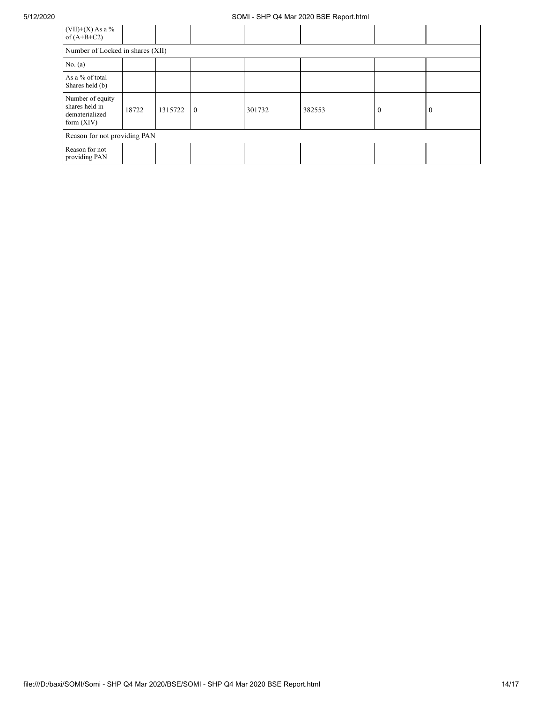## 5/12/2020 SOMI - SHP Q4 Mar 2020 BSE Report.html

| $(VII)+(X)$ As a %<br>of $(A+B+C2)$                                  |       |         |                |        |        |          |                |  |  |  |
|----------------------------------------------------------------------|-------|---------|----------------|--------|--------|----------|----------------|--|--|--|
| Number of Locked in shares (XII)                                     |       |         |                |        |        |          |                |  |  |  |
| No. $(a)$                                                            |       |         |                |        |        |          |                |  |  |  |
| As a % of total<br>Shares held (b)                                   |       |         |                |        |        |          |                |  |  |  |
| Number of equity<br>shares held in<br>dematerialized<br>form $(XIV)$ | 18722 | 1315722 | $\overline{0}$ | 301732 | 382553 | $\theta$ | $\overline{0}$ |  |  |  |
| Reason for not providing PAN                                         |       |         |                |        |        |          |                |  |  |  |
| Reason for not<br>providing PAN                                      |       |         |                |        |        |          |                |  |  |  |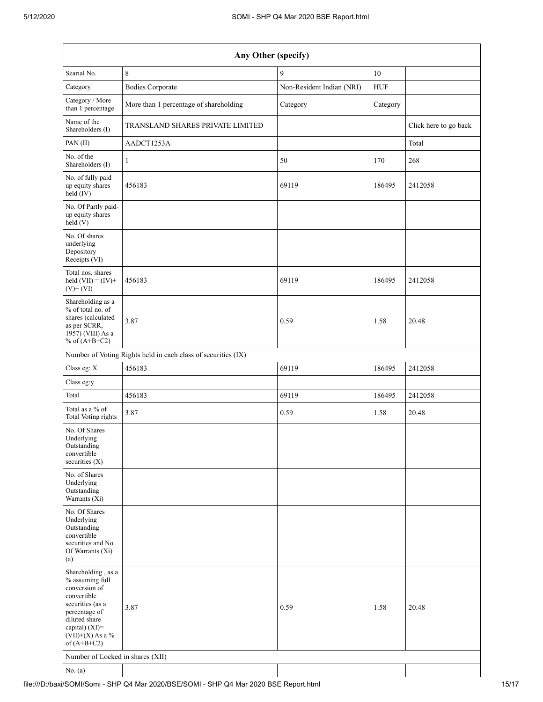| Any Other (specify)                                                                                                                                                                  |                                                               |                           |            |                       |  |  |  |  |  |  |
|--------------------------------------------------------------------------------------------------------------------------------------------------------------------------------------|---------------------------------------------------------------|---------------------------|------------|-----------------------|--|--|--|--|--|--|
| Searial No.                                                                                                                                                                          | 8                                                             | 9                         | $10\,$     |                       |  |  |  |  |  |  |
| Category                                                                                                                                                                             | <b>Bodies Corporate</b>                                       | Non-Resident Indian (NRI) | <b>HUF</b> |                       |  |  |  |  |  |  |
| Category / More<br>than 1 percentage                                                                                                                                                 | More than 1 percentage of shareholding                        | Category                  | Category   |                       |  |  |  |  |  |  |
| Name of the<br>Shareholders (I)                                                                                                                                                      | TRANSLAND SHARES PRIVATE LIMITED                              |                           |            | Click here to go back |  |  |  |  |  |  |
| PAN(II)                                                                                                                                                                              | AADCT1253A                                                    |                           |            | Total                 |  |  |  |  |  |  |
| No. of the<br>Shareholders (I)                                                                                                                                                       | 1                                                             | 50                        | 170        | 268                   |  |  |  |  |  |  |
| No. of fully paid<br>up equity shares<br>held (IV)                                                                                                                                   | 456183                                                        | 69119                     | 186495     | 2412058               |  |  |  |  |  |  |
| No. Of Partly paid-<br>up equity shares<br>held(V)                                                                                                                                   |                                                               |                           |            |                       |  |  |  |  |  |  |
| No. Of shares<br>underlying<br>Depository<br>Receipts (VI)                                                                                                                           |                                                               |                           |            |                       |  |  |  |  |  |  |
| Total nos. shares<br>held $(VII) = (IV) +$<br>$(V)$ + $(VI)$                                                                                                                         | 456183                                                        | 69119                     | 186495     | 2412058               |  |  |  |  |  |  |
| Shareholding as a<br>% of total no. of<br>shares (calculated<br>as per SCRR,<br>1957) (VIII) As a<br>% of $(A+B+C2)$                                                                 | 3.87                                                          | 0.59                      | 1.58       | 20.48                 |  |  |  |  |  |  |
|                                                                                                                                                                                      | Number of Voting Rights held in each class of securities (IX) |                           |            |                       |  |  |  |  |  |  |
| Class eg: X                                                                                                                                                                          | 456183                                                        | 69119                     | 186495     | 2412058               |  |  |  |  |  |  |
| Class eg:y                                                                                                                                                                           |                                                               |                           |            |                       |  |  |  |  |  |  |
| Total                                                                                                                                                                                | 456183                                                        | 69119                     | 186495     | 2412058               |  |  |  |  |  |  |
| Total as a % of<br>Total Voting rights                                                                                                                                               | 3.87                                                          | 0.59                      | 1.58       | 20.48                 |  |  |  |  |  |  |
| No. Of Shares<br>Underlying<br>Outstanding<br>convertible<br>securities $(X)$                                                                                                        |                                                               |                           |            |                       |  |  |  |  |  |  |
| No. of Shares<br>Underlying<br>Outstanding<br>Warrants (Xi)                                                                                                                          |                                                               |                           |            |                       |  |  |  |  |  |  |
| No. Of Shares<br>Underlying<br>Outstanding<br>convertible<br>securities and No.<br>Of Warrants (Xi)<br>(a)                                                                           |                                                               |                           |            |                       |  |  |  |  |  |  |
| Shareholding, as a<br>% assuming full<br>conversion of<br>convertible<br>securities (as a<br>percentage of<br>diluted share<br>capital) (XI)=<br>$(VII)+(X)$ As a %<br>of $(A+B+C2)$ | 3.87                                                          | 0.59                      | 1.58       | 20.48                 |  |  |  |  |  |  |
| Number of Locked in shares (XII)                                                                                                                                                     |                                                               |                           |            |                       |  |  |  |  |  |  |
| No. $(a)$                                                                                                                                                                            |                                                               |                           |            |                       |  |  |  |  |  |  |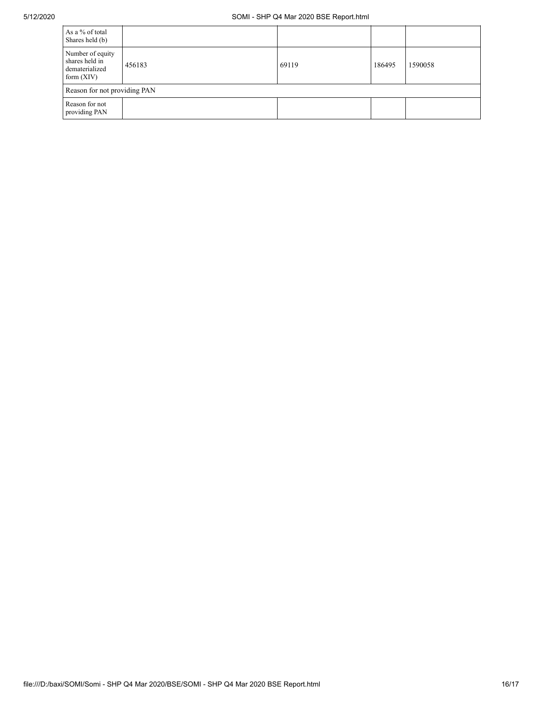| As a % of total<br>Shares held (b)                                   |        |       |        |         |  |  |  |  |  |  |
|----------------------------------------------------------------------|--------|-------|--------|---------|--|--|--|--|--|--|
| Number of equity<br>shares held in<br>dematerialized<br>form $(XIV)$ | 456183 | 69119 | 186495 | 1590058 |  |  |  |  |  |  |
| Reason for not providing PAN                                         |        |       |        |         |  |  |  |  |  |  |
| Reason for not<br>providing PAN                                      |        |       |        |         |  |  |  |  |  |  |